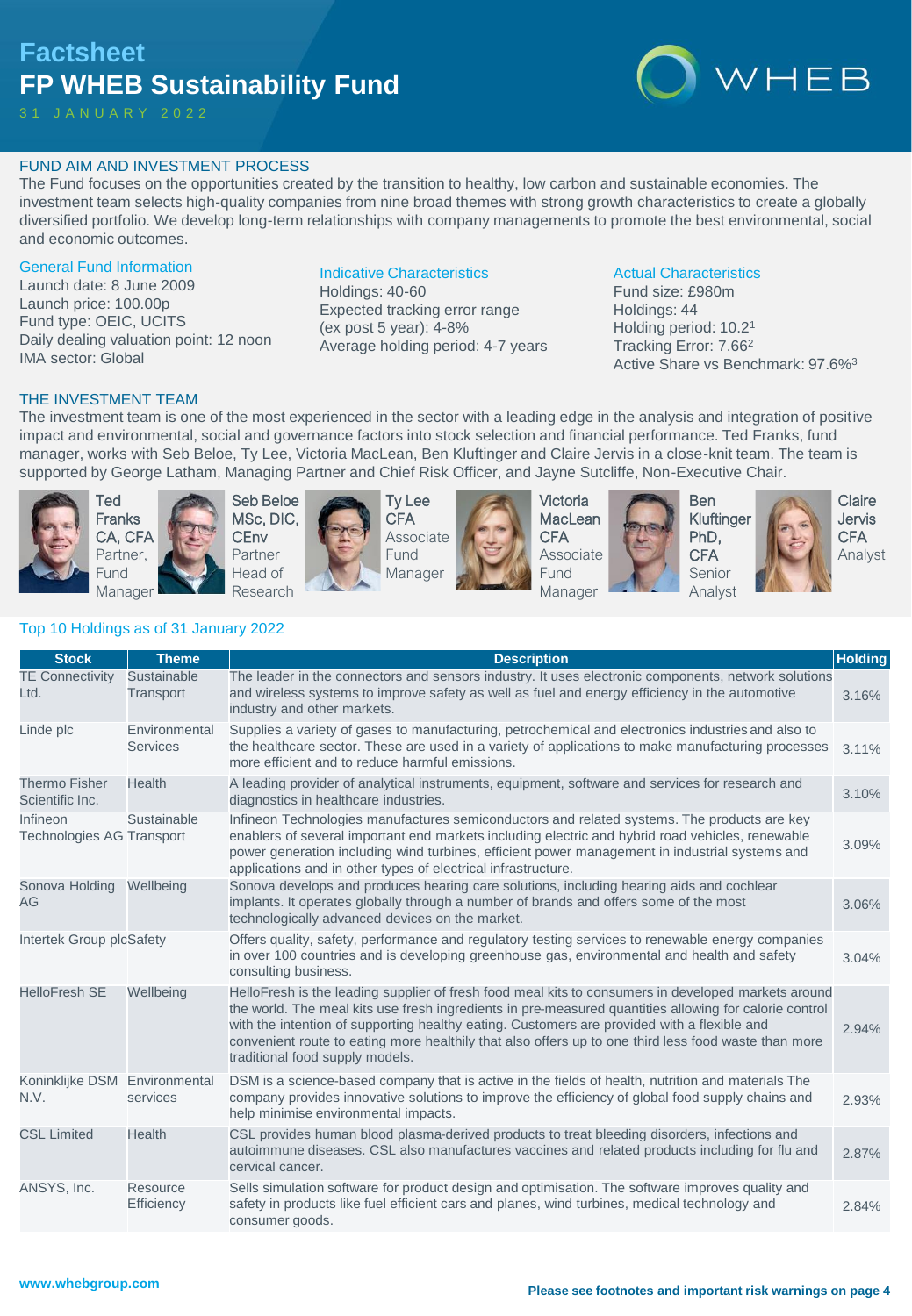# **Factsheet FP WHEB Sustainability Fund**

3 1 J A N U A R Y 2 0 2 2



#### FUND AIM AND INVESTMENT PROCESS

The Fund focuses on the opportunities created by the transition to healthy, low carbon and sustainable economies. The investment team selects high-quality companies from nine broad themes with strong growth characteristics to create a globally diversified portfolio. We develop long-term relationships with company managements to promote the best environmental, social and economic outcomes.

#### General Fund Information

Launch date: 8 June 2009 Launch price: 100.00p Fund type: OEIC, UCITS Daily dealing valuation point: 12 noon IMA sector: Global

#### Indicative Characteristics

Holdings: 40-60 Expected tracking error range (ex post 5 year): 4-8% Average holding period: 4-7 years

#### Actual Characteristics

Fund size: £980m Holdings: 44 Holding period: 10.2<sup>1</sup> Tracking Error: 7.66<sup>2</sup> Active Share vs Benchmark: 97.6%<sup>3</sup>

#### THE INVESTMENT TEAM

The investment team is one of the most experienced in the sector with a leading edge in the analysis and integration of positive impact and environmental, social and governance factors into stock selection and financial performance. Ted Franks, fund manager, works with Seb Beloe, Ty Lee, Victoria MacLean, Ben Kluftinger and Claire Jervis in a close-knit team. The team is supported by George Latham, Managing Partner and Chief Risk Officer, and Jayne Sutcliffe, Non-Executive Chair.



Ted Franks CA, CFA Partner, Fund Manager





Ty Lee **CFA** Associate Fund Manager



Victoria **MacLean CFA** Associate Fund Manager





Ben Kluftinger PhD, **CFA** Senior Analyst

Claire Jervis **CFA** Analyst

# Top 10 Holdings as of 31 January 2022

| <b>Stock</b>                                 | <b>Theme</b>                     | <b>Description</b>                                                                                                                                                                                                                                                                                                                                                                                                                                      | <b>Holding</b> |
|----------------------------------------------|----------------------------------|---------------------------------------------------------------------------------------------------------------------------------------------------------------------------------------------------------------------------------------------------------------------------------------------------------------------------------------------------------------------------------------------------------------------------------------------------------|----------------|
| <b>TE Connectivity</b><br>Ltd.               | Sustainable<br>Transport         | The leader in the connectors and sensors industry. It uses electronic components, network solutions<br>and wireless systems to improve safety as well as fuel and energy efficiency in the automotive<br>industry and other markets.                                                                                                                                                                                                                    | 3.16%          |
| Linde plc                                    | Environmental<br><b>Services</b> | Supplies a variety of gases to manufacturing, petrochemical and electronics industries and also to<br>the healthcare sector. These are used in a variety of applications to make manufacturing processes<br>more efficient and to reduce harmful emissions.                                                                                                                                                                                             | 3.11%          |
| <b>Thermo Fisher</b><br>Scientific Inc.      | <b>Health</b>                    | A leading provider of analytical instruments, equipment, software and services for research and<br>diagnostics in healthcare industries.                                                                                                                                                                                                                                                                                                                | 3.10%          |
| Infineon<br><b>Technologies AG Transport</b> | Sustainable                      | Infineon Technologies manufactures semiconductors and related systems. The products are key<br>enablers of several important end markets including electric and hybrid road vehicles, renewable<br>power generation including wind turbines, efficient power management in industrial systems and<br>applications and in other types of electrical infrastructure.                                                                                      | 3.09%          |
| Sonova Holding<br>AG                         | Wellbeing                        | Sonova develops and produces hearing care solutions, including hearing aids and cochlear<br>implants. It operates globally through a number of brands and offers some of the most<br>technologically advanced devices on the market.                                                                                                                                                                                                                    | 3.06%          |
| Intertek Group plcSafety                     |                                  | Offers quality, safety, performance and regulatory testing services to renewable energy companies<br>in over 100 countries and is developing greenhouse gas, environmental and health and safety<br>consulting business.                                                                                                                                                                                                                                | 3.04%          |
| <b>HelloFresh SE</b>                         | Wellbeing                        | HelloFresh is the leading supplier of fresh food meal kits to consumers in developed markets around<br>the world. The meal kits use fresh ingredients in pre-measured quantities allowing for calorie control<br>with the intention of supporting healthy eating. Customers are provided with a flexible and<br>convenient route to eating more healthily that also offers up to one third less food waste than more<br>traditional food supply models. | 2.94%          |
| Koninklijke DSM Environmental<br>N.V.        | services                         | DSM is a science-based company that is active in the fields of health, nutrition and materials The<br>company provides innovative solutions to improve the efficiency of global food supply chains and<br>help minimise environmental impacts.                                                                                                                                                                                                          | 2.93%          |
| <b>CSL Limited</b>                           | <b>Health</b>                    | CSL provides human blood plasma-derived products to treat bleeding disorders, infections and<br>autoimmune diseases. CSL also manufactures vaccines and related products including for flu and<br>cervical cancer.                                                                                                                                                                                                                                      | 2.87%          |
| ANSYS, Inc.                                  | Resource<br>Efficiency           | Sells simulation software for product design and optimisation. The software improves quality and<br>safety in products like fuel efficient cars and planes, wind turbines, medical technology and<br>consumer goods.                                                                                                                                                                                                                                    | 2.84%          |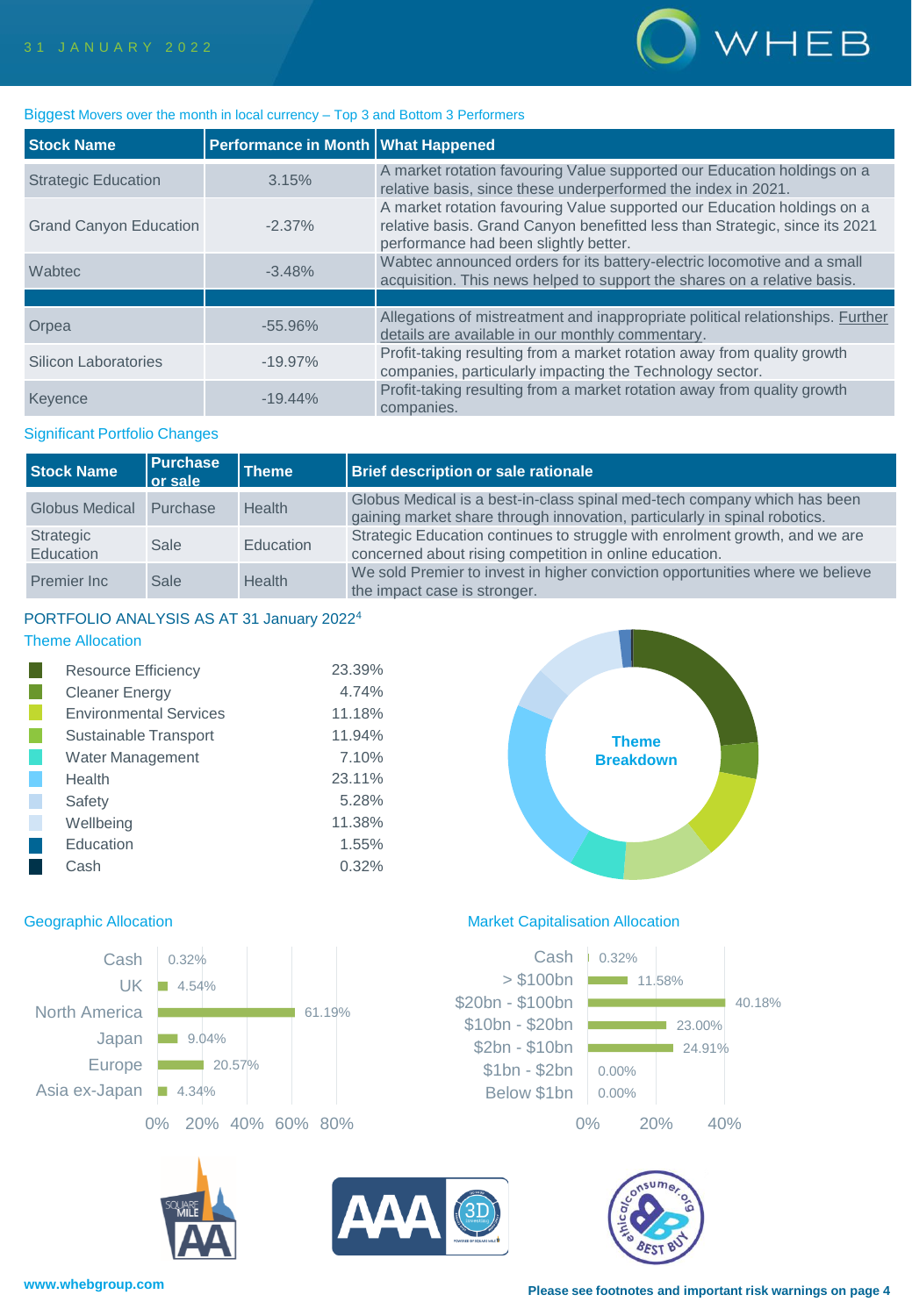

#### Biggest Movers over the month in local currency – Top 3 and Bottom 3 Performers

| <b>Stock Name</b>             | Performance in Month   What Happened |                                                                                                                                                                                                 |
|-------------------------------|--------------------------------------|-------------------------------------------------------------------------------------------------------------------------------------------------------------------------------------------------|
| <b>Strategic Education</b>    | 3.15%                                | A market rotation favouring Value supported our Education holdings on a<br>relative basis, since these underperformed the index in 2021.                                                        |
| <b>Grand Canyon Education</b> | $-2.37\%$                            | A market rotation favouring Value supported our Education holdings on a<br>relative basis. Grand Canyon benefitted less than Strategic, since its 2021<br>performance had been slightly better. |
| Wabtec                        | $-3.48%$                             | Wabtec announced orders for its battery-electric locomotive and a small<br>acquisition. This news helped to support the shares on a relative basis.                                             |
|                               |                                      |                                                                                                                                                                                                 |
| Orpea                         | $-55.96%$                            | Allegations of mistreatment and inappropriate political relationships. Further<br>details are available in our monthly commentary.                                                              |
| Silicon Laboratories          | $-19.97\%$                           | Profit-taking resulting from a market rotation away from quality growth<br>companies, particularly impacting the Technology sector.                                                             |
| Keyence                       | $-19.44\%$                           | Profit-taking resulting from a market rotation away from quality growth<br>companies.                                                                                                           |

#### Significant Portfolio Changes

| <b>Stock Name</b>      | <b>Purchase</b><br>l or sale | <b>Theme</b>  | Brief description or sale rationale                                                                                                                   |
|------------------------|------------------------------|---------------|-------------------------------------------------------------------------------------------------------------------------------------------------------|
| Globus Medical         | Purchase                     | <b>Health</b> | Globus Medical is a best-in-class spinal med-tech company which has been<br>gaining market share through innovation, particularly in spinal robotics. |
| Strategic<br>Education | Sale                         | Education     | Strategic Education continues to struggle with enrolment growth, and we are<br>concerned about rising competition in online education.                |
| Premier Inc            | Sale                         | <b>Health</b> | We sold Premier to invest in higher conviction opportunities where we believe<br>the impact case is stronger.                                         |

#### PORTFOLIO ANALYSIS AS AT 31 January 2022<sup>4</sup> Theme Allocation

| <b>Resource Efficiency</b>    | 23.39% |
|-------------------------------|--------|
| <b>Cleaner Energy</b>         | 4.74%  |
| <b>Environmental Services</b> | 11.18% |
| Sustainable Transport         | 11.94% |
| Water Management              | 7.10%  |
| Health                        | 23.11% |
| Safety                        | 5.28%  |
| Wellbeing                     | 11.38% |
| Education                     | 1.55%  |
| Cash                          | 0.32%  |





#### Geographic Allocation **Market Capitalisation Allocation** Market Capitalisation Allocation





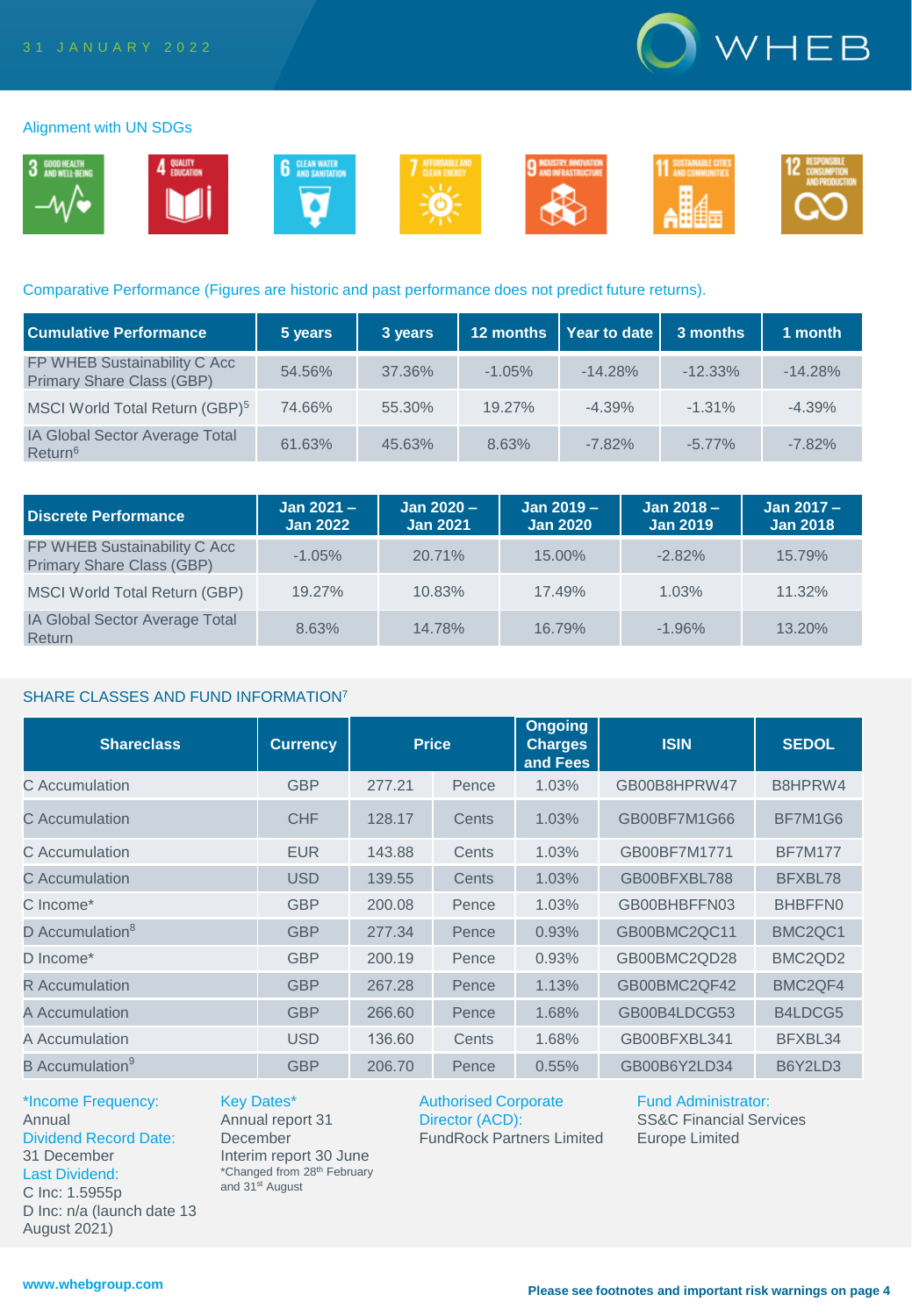

#### Alignment with UN SDGs



# Comparative Performance (Figures are historic and past performance does not predict future returns).

| <b>Cumulative Performance</b>                             | 5 years | 3 years | 12 months | <b>Year to date</b> | 3 months   | 1 month   |
|-----------------------------------------------------------|---------|---------|-----------|---------------------|------------|-----------|
| FP WHEB Sustainability C Acc<br>Primary Share Class (GBP) | 54.56%  | 37.36%  | $-1.05%$  | $-14.28%$           | $-12.33\%$ | $-14.28%$ |
| MSCI World Total Return (GBP) <sup>5</sup>                | 74.66%  | 55.30%  | 19.27%    | $-4.39%$            | $-1.31\%$  | $-4.39%$  |
| IA Global Sector Average Total<br>Return <sup>6</sup>     | 61.63%  | 45.63%  | 8.63%     | $-7.82%$            | $-5.77\%$  | $-7.82%$  |

| Discrete Performance                                             | Jan $2021 -$<br><b>Jan 2022</b> | Jan 2020 -<br><b>Jan 2021</b> | $Jan 2019 -$<br><b>Jan 2020</b> | Jan $2018 -$<br><b>Jan 2019</b> | Jan 2017 -<br><b>Jan 2018</b> |
|------------------------------------------------------------------|---------------------------------|-------------------------------|---------------------------------|---------------------------------|-------------------------------|
| FP WHEB Sustainability C Acc<br><b>Primary Share Class (GBP)</b> | $-1.05%$                        | 20.71%                        | $15.00\%$                       | $-2.82%$                        | 15.79%                        |
| MSCI World Total Return (GBP)                                    | 19.27%                          | 10.83%                        | 17.49%                          | 1.03%                           | $11.32\%$                     |
| <b>IA Global Sector Average Total</b><br>Return                  | 8.63%                           | 14.78%                        | 16.79%                          | $-1.96%$                        | 13.20%                        |

### SHARE CLASSES AND FUND INFORMATION<sup>7</sup>

| <b>Shareclass</b>                  | <b>Currency</b> | <b>Price</b> |       | <b>Ongoing</b><br><b>Charges</b><br>and Fees | <b>ISIN</b>  | <b>SEDOL</b>                     |
|------------------------------------|-----------------|--------------|-------|----------------------------------------------|--------------|----------------------------------|
| C Accumulation                     | <b>GBP</b>      | 277.21       | Pence | 1.03%                                        | GB00B8HPRW47 | B8HPRW4                          |
| C. Accumulation                    | <b>CHF</b>      | 128.17       | Cents | 1.03%                                        | GB00BF7M1G66 | BF7M1G6                          |
| C Accumulation                     | <b>EUR</b>      | 143.88       | Cents | 1.03%                                        | GB00BF7M1771 | <b>BF7M177</b>                   |
| C Accumulation                     | <b>USD</b>      | 139.55       | Cents | 1.03%                                        | GB00BFXBL788 | BFXBL78                          |
| C Income*                          | <b>GBP</b>      | 200.08       | Pence | 1.03%                                        | GB00BHBFFN03 | BHBFFN0                          |
| D Accumulation <sup>8</sup>        | <b>GBP</b>      | 277.34       | Pence | 0.93%                                        | GB00BMC2QC11 | BMC <sub>2</sub> QC <sub>1</sub> |
| D Income*                          | <b>GBP</b>      | 200.19       | Pence | 0.93%                                        | GB00BMC2QD28 | BMC <sub>2</sub> Q <sub>D2</sub> |
| <b>R</b> Accumulation              | <b>GBP</b>      | 267.28       | Pence | 1.13%                                        | GB00BMC2QF42 | BMC <sub>2</sub> QF4             |
| A Accumulation                     | <b>GBP</b>      | 266.60       | Pence | 1.68%                                        | GB00B4LDCG53 | B4LDCG5                          |
| A Accumulation                     | <b>USD</b>      | 136.60       | Cents | 1.68%                                        | GB00BFXBL341 | BFXBL34                          |
| <b>B</b> Accumulation <sup>9</sup> | <b>GBP</b>      | 206.70       | Pence | 0.55%                                        | GB00B6Y2LD34 | B6Y2LD3                          |

\*Income Frequency: Annual Dividend Record Date: 31 December Last Dividend: C Inc: 1.5955p D Inc: n/a (launch date 13 August 2021)

Key Dates\* Annual report 31 **December** Interim report 30 June \*Changed from 28th February and 31<sup>st</sup> August

Authorised Corporate Director (ACD): FundRock Partners Limited Fund Administrator: SS&C Financial Services Europe Limited